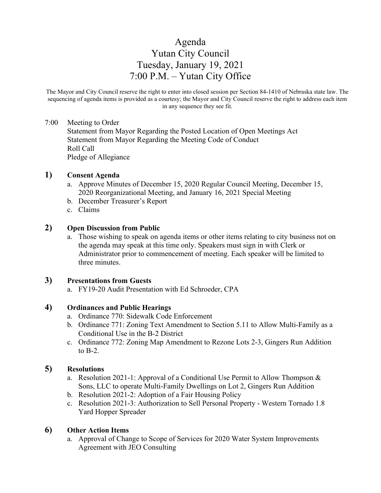# Agenda Yutan City Council Tuesday, January 19, 2021 7:00 P.M. – Yutan City Office

The Mayor and City Council reserve the right to enter into closed session per Section 84-1410 of Nebraska state law. The sequencing of agenda items is provided as a courtesy; the Mayor and City Council reserve the right to address each item in any sequence they see fit.

#### 7:00 Meeting to Order

Statement from Mayor Regarding the Posted Location of Open Meetings Act Statement from Mayor Regarding the Meeting Code of Conduct Roll Call Pledge of Allegiance

## **1) Consent Agenda**

- a. Approve Minutes of December 15, 2020 Regular Council Meeting, December 15, 2020 Reorganizational Meeting, and January 16, 2021 Special Meeting
- b. December Treasurer's Report
- c. Claims

## **2) Open Discussion from Public**

a. Those wishing to speak on agenda items or other items relating to city business not on the agenda may speak at this time only. Speakers must sign in with Clerk or Administrator prior to commencement of meeting. Each speaker will be limited to three minutes.

#### **3) Presentations from Guests**

a. FY19-20 Audit Presentation with Ed Schroeder, CPA

## **4) Ordinances and Public Hearings**

- a. Ordinance 770: Sidewalk Code Enforcement
- b. Ordinance 771: Zoning Text Amendment to Section 5.11 to Allow Multi-Family as a Conditional Use in the B-2 District
- c. Ordinance 772: Zoning Map Amendment to Rezone Lots 2-3, Gingers Run Addition to  $B-2$ .

## **5) Resolutions**

- a. Resolution 2021-1: Approval of a Conditional Use Permit to Allow Thompson & Sons, LLC to operate Multi-Family Dwellings on Lot 2, Gingers Run Addition
- b. Resolution 2021-2: Adoption of a Fair Housing Policy
- c. Resolution 2021-3: Authorization to Sell Personal Property Western Tornado 1.8 Yard Hopper Spreader

## **6) Other Action Items**

a. Approval of Change to Scope of Services for 2020 Water System Improvements Agreement with JEO Consulting